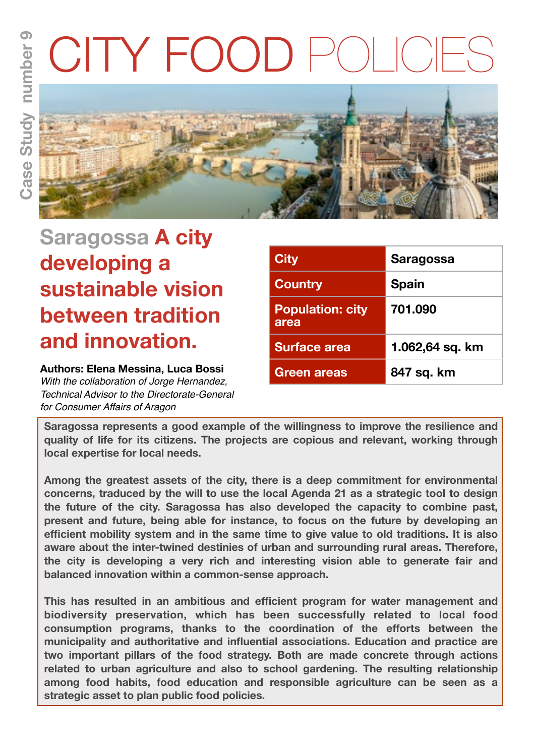# CITY FOOD POI



**Saragossa A city developing a sustainable vision between tradition and innovation.**

# **Authors: Elena Messina, Luca Bossi**

*With the collaboration of Jorge Hernandez, Technical Advisor to the Directorate-General for Consumer Affairs of Aragon*

| <b>City</b>                     | <b>Saragossa</b> |
|---------------------------------|------------------|
| <b>Country</b>                  | <b>Spain</b>     |
| <b>Population: city</b><br>area | 701.090          |
| <b>Surface area</b>             | 1.062,64 sq. km  |
| <b>Green areas</b>              | 847 sq. km       |

**Saragossa represents a good example of the willingness to improve the resilience and quality of life for its citizens. The projects are copious and relevant, working through local expertise for local needs.** 

**Among the greatest assets of the city, there is a deep commitment for environmental concerns, traduced by the will to use the local Agenda 21 as a strategic tool to design the future of the city. Saragossa has also developed the capacity to combine past, present and future, being able for instance, to focus on the future by developing an efficient mobility system and in the same time to give value to old traditions. It is also aware about the inter-twined destinies of urban and surrounding rural areas. Therefore, the city is developing a very rich and interesting vision able to generate fair and balanced innovation within a common-sense approach.** 

**This has resulted in an ambitious and efficient program for water management and biodiversity preservation, which has been successfully related to local food consumption programs, thanks to the coordination of the efforts between the municipality and authoritative and influential associations. Education and practice are two important pillars of the food strategy. Both are made concrete through actions related to urban agriculture and also to school gardening. The resulting relationship among food habits, food education and responsible agriculture can be seen as a strategic asset to plan public food policies.**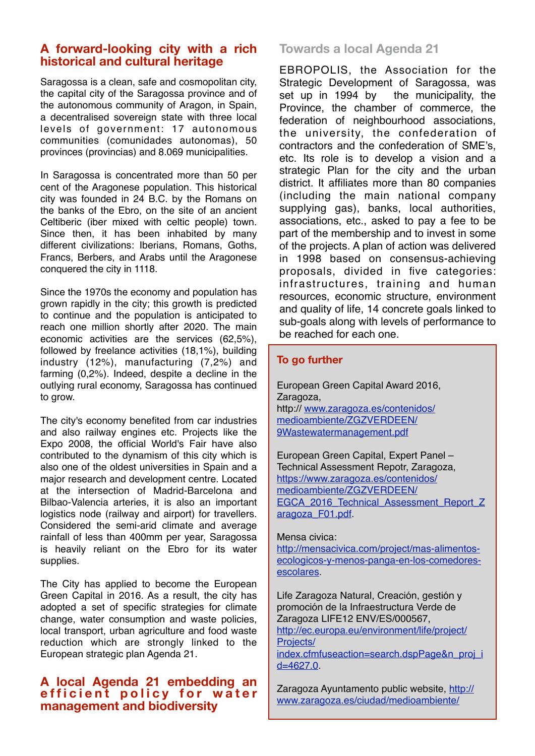## **A forward-looking city with a rich historical and cultural heritage**

Saragossa is a clean, safe and cosmopolitan city, the capital city of the Saragossa province and of the autonomous community of Aragon, in Spain, a decentralised sovereign state with three local levels of government: 17 autonomous communities (comunidades autonomas), 50 provinces (provincias) and 8.069 municipalities.

In Saragossa is concentrated more than 50 per cent of the Aragonese population. This historical city was founded in 24 B.C. by the Romans on the banks of the Ebro, on the site of an ancient Celtiberic (iber mixed with celtic people) town. Since then, it has been inhabited by many different civilizations: Iberians, Romans, Goths, Francs, Berbers, and Arabs until the Aragonese conquered the city in 1118.

Since the 1970s the economy and population has grown rapidly in the city; this growth is predicted to continue and the population is anticipated to reach one million shortly after 2020. The main economic activities are the services (62,5%), followed by freelance activities (18,1%), building industry (12%), manufacturing (7,2%) and farming (0,2%). Indeed, despite a decline in the outlying rural economy, Saragossa has continued to grow.

The city's economy benefited from car industries and also railway engines etc. Projects like the Expo 2008, the official World's Fair have also contributed to the dynamism of this city which is also one of the oldest universities in Spain and a major research and development centre. Located at the intersection of Madrid-Barcelona and Bilbao-Valencia arteries, it is also an important logistics node (railway and airport) for travellers. Considered the semi-arid climate and average rainfall of less than 400mm per year, Saragossa is heavily reliant on the Ebro for its water supplies.

The City has applied to become the European Green Capital in 2016. As a result, the city has adopted a set of specific strategies for climate change, water consumption and waste policies, local transport, urban agriculture and food waste reduction which are strongly linked to the European strategic plan Agenda 21.

### **A local Agenda 21 embedding an efficient policy for water management and biodiversity**

# **Towards a local Agenda 21**

EBROPOLIS, the Association for the Strategic Development of Saragossa, was set up in 1994 by the municipality, the Province, the chamber of commerce, the federation of neighbourhood associations, the university, the confederation of contractors and the confederation of SME's, etc. Its role is to develop a vision and a strategic Plan for the city and the urban district. It affiliates more than 80 companies (including the main national company supplying gas), banks, local authorities, associations, etc., asked to pay a fee to be part of the membership and to invest in some of the projects. A plan of action was delivered in 1998 based on consensus-achieving proposals, divided in five categories: infrastructures, training and human resources, economic structure, environment and quality of life, 14 concrete goals linked to sub-goals along with levels of performance to be reached for each one.

#### **To go further**

European Green Capital Award 2016, Zaragoza, http:// [www.zaragoza.es/contenidos/](http://www.zaragoza.es/contenidos/medioambiente/ZGZVERDEEN/9Wastewatermanagement.pdf) [medioambiente/ZGZVERDEEN/](http://www.zaragoza.es/contenidos/medioambiente/ZGZVERDEEN/9Wastewatermanagement.pdf) [9Wastewatermanagement.pdf](http://www.zaragoza.es/contenidos/medioambiente/ZGZVERDEEN/9Wastewatermanagement.pdf)

European Green Capital, Expert Panel – Technical Assessment Repotr, Zaragoza, [https://www.zaragoza.es/contenidos/](https://www.zaragoza.es/contenidos/medioambiente/ZGZVERDEEN/EGCA_2016_Technical_Assessment_Report_Zaragoza_F01.pdf) [medioambiente/ZGZVERDEEN/](https://www.zaragoza.es/contenidos/medioambiente/ZGZVERDEEN/EGCA_2016_Technical_Assessment_Report_Zaragoza_F01.pdf) EGCA 2016 Technical Assessment Report Z [aragoza\\_F01.pdf.](https://www.zaragoza.es/contenidos/medioambiente/ZGZVERDEEN/EGCA_2016_Technical_Assessment_Report_Zaragoza_F01.pdf)

#### Mensa civica:

[http://mensacivica.com/project/mas-alimentos](http://mensacivica.com/project/mas-alimentos-ecologicos-y-menos-panga-en-los-comedores-escolares)[ecologicos-y-menos-panga-en-los-comedores](http://mensacivica.com/project/mas-alimentos-ecologicos-y-menos-panga-en-los-comedores-escolares)[escolares.](http://mensacivica.com/project/mas-alimentos-ecologicos-y-menos-panga-en-los-comedores-escolares)

Life Zaragoza Natural, Creación, gestión y promoción de la Infraestructura Verde de Zaragoza LIFE12 ENV/ES/000567, [http://ec.europa.eu/environment/life/project/](http://ec.europa.eu/environment/life/project/Projects/index.cfmfuseaction=search.dspPage&n_proj_id=4627.0) [Projects/](http://ec.europa.eu/environment/life/project/Projects/index.cfmfuseaction=search.dspPage&n_proj_id=4627.0) [index.cfmfuseaction=search.dspPage&n\\_proj\\_i](http://ec.europa.eu/environment/life/project/Projects/index.cfmfuseaction=search.dspPage&n_proj_id=4627.0) [d=4627.0.](http://ec.europa.eu/environment/life/project/Projects/index.cfmfuseaction=search.dspPage&n_proj_id=4627.0)

Zaragoza Ayuntamento public website, [http://](http://www.zaragoza.es/ciudad/medioambiente/life.htm) [www.zaragoza.es/ciudad/medioambiente/](http://www.zaragoza.es/ciudad/medioambiente/life.htm)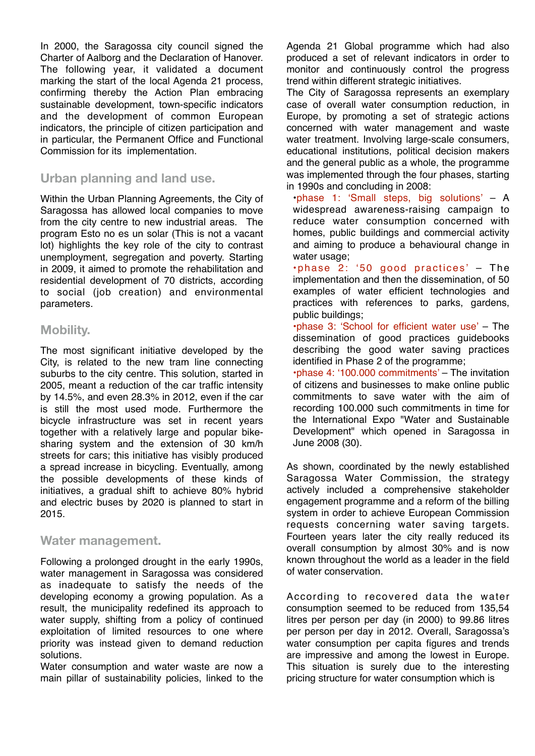In 2000, the Saragossa city council signed the Charter of Aalborg and the Declaration of Hanover. The following year, it validated a document marking the start of the local Agenda 21 process, confirming thereby the Action Plan embracing sustainable development, town-specific indicators and the development of common European indicators, the principle of citizen participation and in particular, the Permanent Office and Functional Commission for its implementation.

## **Urban planning and land use.**

Within the Urban Planning Agreements, the City of Saragossa has allowed local companies to move from the city centre to new industrial areas. The program Esto no es un solar (This is not a vacant lot) highlights the key role of the city to contrast unemployment, segregation and poverty. Starting in 2009, it aimed to promote the rehabilitation and residential development of 70 districts, according to social (job creation) and environmental parameters.

## **Mobility.**

The most significant initiative developed by the City, is related to the new tram line connecting suburbs to the city centre. This solution, started in 2005, meant a reduction of the car traffic intensity by 14.5%, and even 28.3% in 2012, even if the car is still the most used mode. Furthermore the bicycle infrastructure was set in recent years together with a relatively large and popular bikesharing system and the extension of 30 km/h streets for cars; this initiative has visibly produced a spread increase in bicycling. Eventually, among the possible developments of these kinds of initiatives, a gradual shift to achieve 80% hybrid and electric buses by 2020 is planned to start in 2015.

#### **Water management.**

Following a prolonged drought in the early 1990s, water management in Saragossa was considered as inadequate to satisfy the needs of the developing economy a growing population. As a result, the municipality redefined its approach to water supply, shifting from a policy of continued exploitation of limited resources to one where priority was instead given to demand reduction solutions.

Water consumption and water waste are now a main pillar of sustainability policies, linked to the

Agenda 21 Global programme which had also produced a set of relevant indicators in order to monitor and continuously control the progress trend within different strategic initiatives.

The City of Saragossa represents an exemplary case of overall water consumption reduction, in Europe, by promoting a set of strategic actions concerned with water management and waste water treatment. Involving large-scale consumers, educational institutions, political decision makers and the general public as a whole, the programme was implemented through the four phases, starting in 1990s and concluding in 2008:

•phase 1: 'Small steps, big solutions' – A widespread awareness-raising campaign to reduce water consumption concerned with homes, public buildings and commercial activity and aiming to produce a behavioural change in water usage;

•phase 2: '50 good practices' – The implementation and then the dissemination, of 50 examples of water efficient technologies and practices with references to parks, gardens, public buildings;

•phase 3: 'School for efficient water use' – The dissemination of good practices guidebooks describing the good water saving practices identified in Phase 2 of the programme;

•phase 4: '100.000 commitments' – The invitation of citizens and businesses to make online public commitments to save water with the aim of recording 100.000 such commitments in time for the International Expo "Water and Sustainable Development" which opened in Saragossa in June 2008 (30).

As shown, coordinated by the newly established Saragossa Water Commission, the strategy actively included a comprehensive stakeholder engagement programme and a reform of the billing system in order to achieve European Commission requests concerning water saving targets. Fourteen years later the city really reduced its overall consumption by almost 30% and is now known throughout the world as a leader in the field of water conservation.

According to recovered data the water consumption seemed to be reduced from 135,54 litres per person per day (in 2000) to 99.86 litres per person per day in 2012. Overall, Saragossa's water consumption per capita figures and trends are impressive and among the lowest in Europe. This situation is surely due to the interesting pricing structure for water consumption which is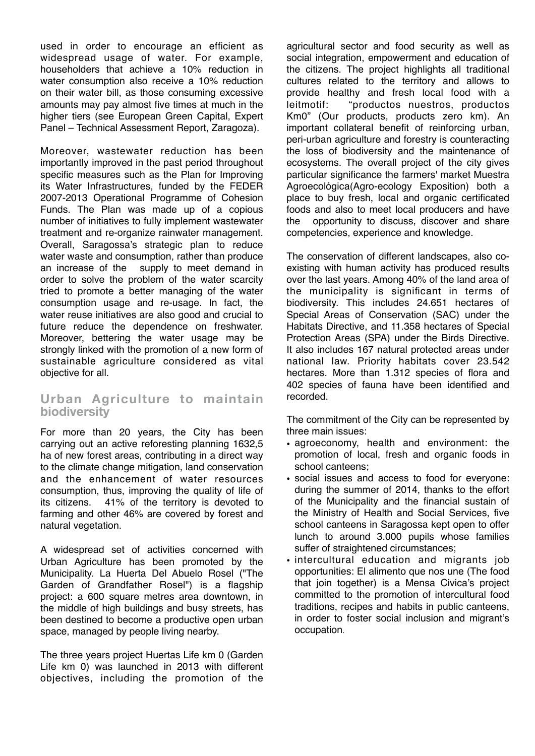used in order to encourage an efficient as widespread usage of water. For example, householders that achieve a 10% reduction in water consumption also receive a 10% reduction on their water bill, as those consuming excessive amounts may pay almost five times at much in the higher tiers (see European Green Capital, Expert Panel – Technical Assessment Report, Zaragoza).

Moreover, wastewater reduction has been importantly improved in the past period throughout specific measures such as the Plan for Improving its Water Infrastructures, funded by the FEDER 2007-2013 Operational Programme of Cohesion Funds. The Plan was made up of a copious number of initiatives to fully implement wastewater treatment and re-organize rainwater management. Overall, Saragossa's strategic plan to reduce water waste and consumption, rather than produce an increase of the supply to meet demand in order to solve the problem of the water scarcity tried to promote a better managing of the water consumption usage and re-usage. In fact, the water reuse initiatives are also good and crucial to future reduce the dependence on freshwater. Moreover, bettering the water usage may be strongly linked with the promotion of a new form of sustainable agriculture considered as vital objective for all.

## **Urban Agriculture to maintain biodiversity**

For more than 20 years, the City has been carrying out an active reforesting planning 1632,5 ha of new forest areas, contributing in a direct way to the climate change mitigation, land conservation and the enhancement of water resources consumption, thus, improving the quality of life of its citizens. 41% of the territory is devoted to farming and other 46% are covered by forest and natural vegetation.

A widespread set of activities concerned with Urban Agriculture has been promoted by the Municipality. La Huerta Del Abuelo Rosel ("The Garden of Grandfather Rosel") is a flagship project: a 600 square metres area downtown, in the middle of high buildings and busy streets, has been destined to become a productive open urban space, managed by people living nearby.

The three years project Huertas Life km 0 (Garden Life km 0) was launched in 2013 with different objectives, including the promotion of the

agricultural sector and food security as well as social integration, empowerment and education of the citizens. The project highlights all traditional cultures related to the territory and allows to provide healthy and fresh local food with a leitmotif: "productos nuestros, productos Km0" (Our products, products zero km). An important collateral benefit of reinforcing urban, peri-urban agriculture and forestry is counteracting the loss of biodiversity and the maintenance of ecosystems. The overall project of the city gives particular significance the farmers' market Muestra Agroecológica(Agro-ecology Exposition) both a place to buy fresh, local and organic certificated foods and also to meet local producers and have the opportunity to discuss, discover and share competencies, experience and knowledge.

The conservation of different landscapes, also coexisting with human activity has produced results over the last years. Among 40% of the land area of the municipality is significant in terms of biodiversity. This includes 24.651 hectares of Special Areas of Conservation (SAC) under the Habitats Directive, and 11.358 hectares of Special Protection Areas (SPA) under the Birds Directive. It also includes 167 natural protected areas under national law. Priority habitats cover 23.542 hectares. More than 1.312 species of flora and 402 species of fauna have been identified and recorded.

The commitment of the City can be represented by three main issues:

- agroeconomy, health and environment: the promotion of local, fresh and organic foods in school canteens;
- social issues and access to food for everyone: during the summer of 2014, thanks to the effort of the Municipality and the financial sustain of the Ministry of Health and Social Services, five school canteens in Saragossa kept open to offer lunch to around 3.000 pupils whose families suffer of straightened circumstances:
- intercultural education and migrants job opportunities: El alimento que nos une (The food that join together) is a Mensa Civica's project committed to the promotion of intercultural food traditions, recipes and habits in public canteens, in order to foster social inclusion and migrant's occupation.